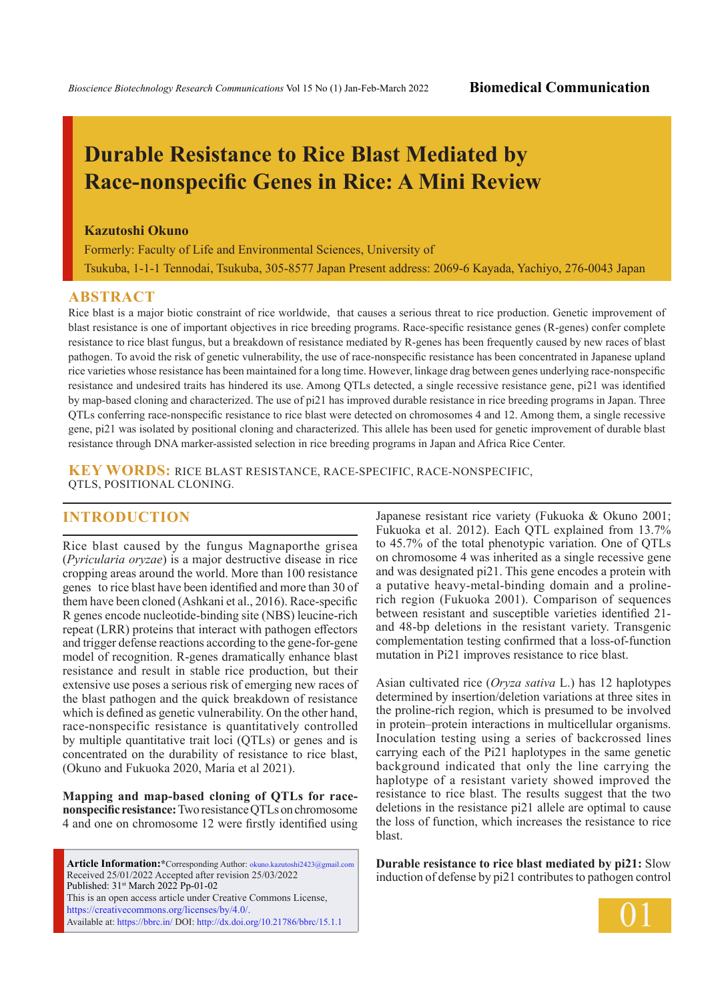# **Durable Resistance to Rice Blast Mediated by Race-nonspecific Genes in Rice: A Mini Review**

### **Kazutoshi Okuno**

Formerly: Faculty of Life and Environmental Sciences, University of Tsukuba, 1-1-1 Tennodai, Tsukuba, 305-8577 Japan Present address: 2069-6 Kayada, Yachiyo, 276-0043 Japan

### **ABSTRACT**

Rice blast is a major biotic constraint of rice worldwide, that causes a serious threat to rice production. Genetic improvement of blast resistance is one of important objectives in rice breeding programs. Race-specific resistance genes (R-genes) confer complete resistance to rice blast fungus, but a breakdown of resistance mediated by R-genes has been frequently caused by new races of blast pathogen. To avoid the risk of genetic vulnerability, the use of race-nonspecific resistance has been concentrated in Japanese upland rice varieties whose resistance has been maintained for a long time. However, linkage drag between genes underlying race-nonspecific resistance and undesired traits has hindered its use. Among QTLs detected, a single recessive resistance gene, pi21 was identified by map-based cloning and characterized. The use of pi21 has improved durable resistance in rice breeding programs in Japan. Three QTLs conferring race-nonspecific resistance to rice blast were detected on chromosomes 4 and 12. Among them, a single recessive gene, pi21 was isolated by positional cloning and characterized. This allele has been used for genetic improvement of durable blast resistance through DNA marker-assisted selection in rice breeding programs in Japan and Africa Rice Center.

**KEY WORDS:** rice blast resistance, race-specific, race-nonspecific, QTLs, positional cloning.

## **INTRODUCTION**

Rice blast caused by the fungus Magnaporthe grisea (*Pyricularia oryzae*) is a major destructive disease in rice cropping areas around the world. More than 100 resistance genes to rice blast have been identified and more than 30 of them have been cloned (Ashkani et al., 2016). Race-specific R genes encode nucleotide-binding site (NBS) leucine-rich repeat (LRR) proteins that interact with pathogen effectors and trigger defense reactions according to the gene-for-gene model of recognition. R-genes dramatically enhance blast resistance and result in stable rice production, but their extensive use poses a serious risk of emerging new races of the blast pathogen and the quick breakdown of resistance which is defined as genetic vulnerability. On the other hand, race-nonspecific resistance is quantitatively controlled by multiple quantitative trait loci (QTLs) or genes and is concentrated on the durability of resistance to rice blast, (Okuno and Fukuoka 2020, Maria et al 2021).

**Mapping and map-based cloning of QTLs for racenonspecific resistance:** Two resistance QTLs on chromosome 4 and one on chromosome 12 were firstly identified using

**Article Information:\***Corresponding Author: okuno.kazutoshi2423@gmail.com Received 25/01/2022 Accepted after revision 25/03/2022 Published: 31st March 2022 Pp-01-02 This is an open access article under Creative Commons License, https://creativecommons.org/licenses/by/4.0/. Available at: https://bbrc.in/ DOI: http://dx.doi.org/10.21786/bbrc/15.1.1

Japanese resistant rice variety (Fukuoka & Okuno 2001; Fukuoka et al. 2012). Each QTL explained from 13.7% to 45.7% of the total phenotypic variation. One of QTLs on chromosome 4 was inherited as a single recessive gene and was designated pi21. This gene encodes a protein with a putative heavy-metal-binding domain and a prolinerich region (Fukuoka 2001). Comparison of sequences between resistant and susceptible varieties identified 21 and 48-bp deletions in the resistant variety. Transgenic complementation testing confirmed that a loss-of-function mutation in Pi21 improves resistance to rice blast.

Asian cultivated rice (*Oryza sativa* L.) has 12 haplotypes determined by insertion/deletion variations at three sites in the proline-rich region, which is presumed to be involved in protein–protein interactions in multicellular organisms. Inoculation testing using a series of backcrossed lines carrying each of the Pi21 haplotypes in the same genetic background indicated that only the line carrying the haplotype of a resistant variety showed improved the resistance to rice blast. The results suggest that the two deletions in the resistance pi21 allele are optimal to cause the loss of function, which increases the resistance to rice blast.

**Durable resistance to rice blast mediated by pi21:** Slow induction of defense by pi21 contributes to pathogen control